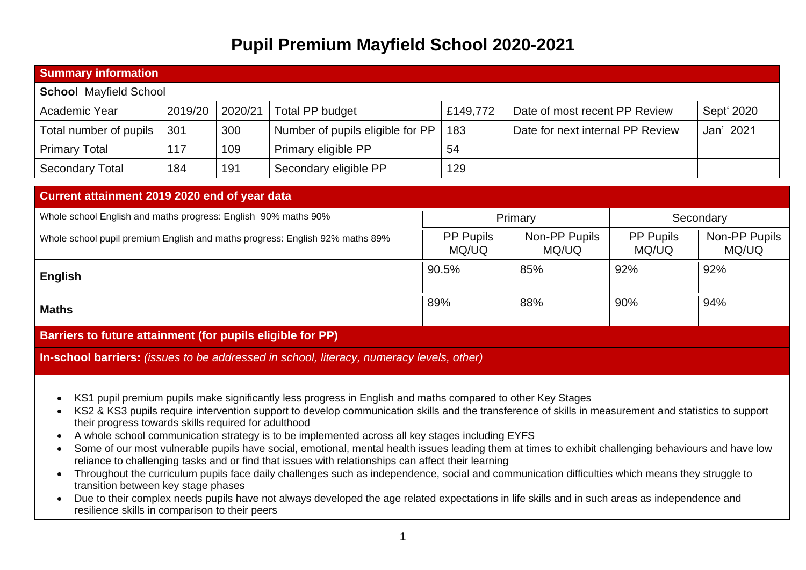## **Pupil Premium Mayfield School 2020-2021**

| <b>Summary information</b>                                     |         |         |                                                                              |                           |                                  |                           |                        |
|----------------------------------------------------------------|---------|---------|------------------------------------------------------------------------------|---------------------------|----------------------------------|---------------------------|------------------------|
| <b>School Mayfield School</b>                                  |         |         |                                                                              |                           |                                  |                           |                        |
| Academic Year                                                  | 2019/20 | 2020/21 | Total PP budget                                                              | £149,772                  | Date of most recent PP Review    |                           | Sept' 2020             |
| Total number of pupils                                         | 301     | 300     | Number of pupils eligible for PP                                             | 183                       | Date for next internal PP Review |                           | Jan' 2021              |
| <b>Primary Total</b>                                           | 117     | 109     | Primary eligible PP                                                          | 54                        |                                  |                           |                        |
| <b>Secondary Total</b>                                         | 184     | 191     | Secondary eligible PP                                                        | 129                       |                                  |                           |                        |
| Current attainment 2019 2020 end of year data                  |         |         |                                                                              |                           |                                  |                           |                        |
| Whole school English and maths progress: English 90% maths 90% |         |         |                                                                              |                           |                                  |                           |                        |
|                                                                |         |         |                                                                              |                           | Primary                          |                           | Secondary              |
|                                                                |         |         | Whole school pupil premium English and maths progress: English 92% maths 89% | <b>PP Pupils</b><br>MQ/UQ | Non-PP Pupils<br>MQ/UQ           | <b>PP Pupils</b><br>MQ/UQ | Non-PP Pupils<br>MQ/UQ |
| <b>English</b>                                                 |         |         |                                                                              | 90.5%                     | 85%                              | 92%                       | 92%                    |
| <b>Maths</b>                                                   |         |         |                                                                              | 89%                       | 88%                              | 90%                       | 94%                    |

**In-school barriers:** *(issues to be addressed in school, literacy, numeracy levels, other)*

- KS1 pupil premium pupils make significantly less progress in English and maths compared to other Key Stages
- KS2 & KS3 pupils require intervention support to develop communication skills and the transference of skills in measurement and statistics to support their progress towards skills required for adulthood
- A whole school communication strategy is to be implemented across all key stages including EYFS
- Some of our most vulnerable pupils have social, emotional, mental health issues leading them at times to exhibit challenging behaviours and have low reliance to challenging tasks and or find that issues with relationships can affect their learning
- Throughout the curriculum pupils face daily challenges such as independence, social and communication difficulties which means they struggle to transition between key stage phases
- Due to their complex needs pupils have not always developed the age related expectations in life skills and in such areas as independence and resilience skills in comparison to their peers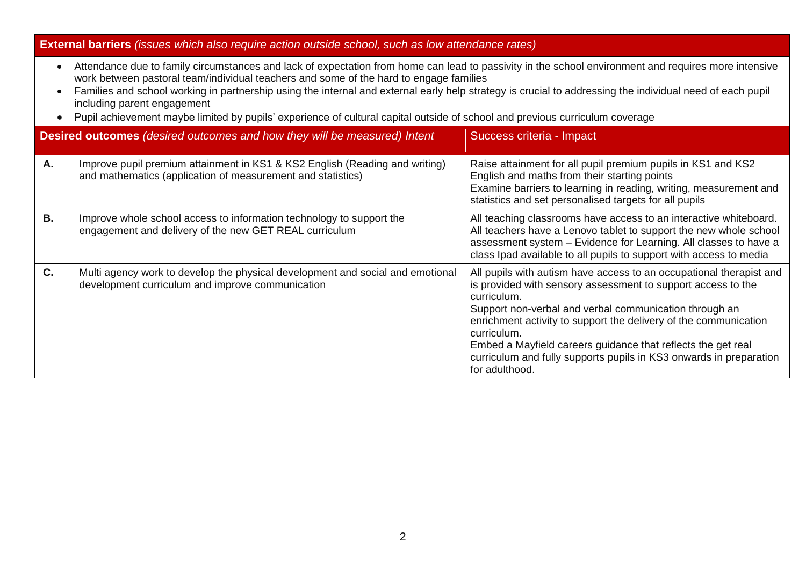## **External barriers** *(issues which also require action outside school, such as low attendance rates)*

- Attendance due to family circumstances and lack of expectation from home can lead to passivity in the school environment and requires more intensive work between pastoral team/individual teachers and some of the hard to engage families
- Families and school working in partnership using the internal and external early help strategy is crucial to addressing the individual need of each pupil including parent engagement
- Pupil achievement maybe limited by pupils' experience of cultural capital outside of school and previous curriculum coverage

|           | <b>Desired outcomes</b> (desired outcomes and how they will be measured) Intent                                                            | Success criteria - Impact                                                                                                                                                                                                                                                                                                                                                                                                                               |
|-----------|--------------------------------------------------------------------------------------------------------------------------------------------|---------------------------------------------------------------------------------------------------------------------------------------------------------------------------------------------------------------------------------------------------------------------------------------------------------------------------------------------------------------------------------------------------------------------------------------------------------|
| Α.        | Improve pupil premium attainment in KS1 & KS2 English (Reading and writing)<br>and mathematics (application of measurement and statistics) | Raise attainment for all pupil premium pupils in KS1 and KS2<br>English and maths from their starting points<br>Examine barriers to learning in reading, writing, measurement and<br>statistics and set personalised targets for all pupils                                                                                                                                                                                                             |
| <b>B.</b> | Improve whole school access to information technology to support the<br>engagement and delivery of the new GET REAL curriculum             | All teaching classrooms have access to an interactive whiteboard.<br>All teachers have a Lenovo tablet to support the new whole school<br>assessment system - Evidence for Learning. All classes to have a<br>class Ipad available to all pupils to support with access to media                                                                                                                                                                        |
| C.        | Multi agency work to develop the physical development and social and emotional<br>development curriculum and improve communication         | All pupils with autism have access to an occupational therapist and<br>is provided with sensory assessment to support access to the<br>curriculum.<br>Support non-verbal and verbal communication through an<br>enrichment activity to support the delivery of the communication<br>curriculum.<br>Embed a Mayfield careers guidance that reflects the get real<br>curriculum and fully supports pupils in KS3 onwards in preparation<br>for adulthood. |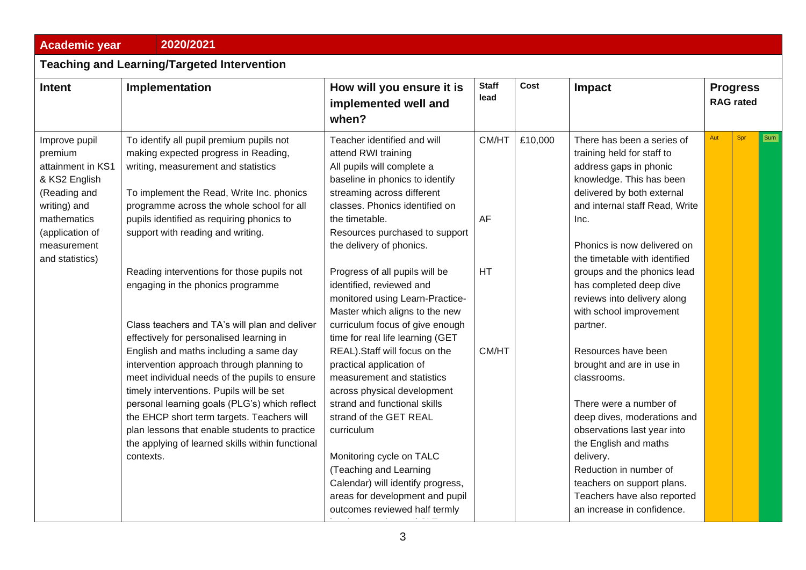| <b>Academic year</b>                                                                                                                                               | 2020/2021                                                                                                                                                                                                                                                                                                                                                                                                                                                                                                                                                                                                                                                                                                                                                                                                                                                                                |                                                                                                                                                                                                                                                                                                                                                                                                                                                                                                                                                                                                                                                                                                                                                                                                                                                 |                                   |         |                                                                                                                                                                                                                                                                                                                                                                                                                                                                                                                                                                                                                                                                                                              |                                     |     |     |  |
|--------------------------------------------------------------------------------------------------------------------------------------------------------------------|------------------------------------------------------------------------------------------------------------------------------------------------------------------------------------------------------------------------------------------------------------------------------------------------------------------------------------------------------------------------------------------------------------------------------------------------------------------------------------------------------------------------------------------------------------------------------------------------------------------------------------------------------------------------------------------------------------------------------------------------------------------------------------------------------------------------------------------------------------------------------------------|-------------------------------------------------------------------------------------------------------------------------------------------------------------------------------------------------------------------------------------------------------------------------------------------------------------------------------------------------------------------------------------------------------------------------------------------------------------------------------------------------------------------------------------------------------------------------------------------------------------------------------------------------------------------------------------------------------------------------------------------------------------------------------------------------------------------------------------------------|-----------------------------------|---------|--------------------------------------------------------------------------------------------------------------------------------------------------------------------------------------------------------------------------------------------------------------------------------------------------------------------------------------------------------------------------------------------------------------------------------------------------------------------------------------------------------------------------------------------------------------------------------------------------------------------------------------------------------------------------------------------------------------|-------------------------------------|-----|-----|--|
| <b>Teaching and Learning/Targeted Intervention</b>                                                                                                                 |                                                                                                                                                                                                                                                                                                                                                                                                                                                                                                                                                                                                                                                                                                                                                                                                                                                                                          |                                                                                                                                                                                                                                                                                                                                                                                                                                                                                                                                                                                                                                                                                                                                                                                                                                                 |                                   |         |                                                                                                                                                                                                                                                                                                                                                                                                                                                                                                                                                                                                                                                                                                              |                                     |     |     |  |
| <b>Intent</b>                                                                                                                                                      | Implementation                                                                                                                                                                                                                                                                                                                                                                                                                                                                                                                                                                                                                                                                                                                                                                                                                                                                           | How will you ensure it is<br>implemented well and<br>when?                                                                                                                                                                                                                                                                                                                                                                                                                                                                                                                                                                                                                                                                                                                                                                                      | <b>Staff</b><br>lead              | Cost    | Impact                                                                                                                                                                                                                                                                                                                                                                                                                                                                                                                                                                                                                                                                                                       | <b>Progress</b><br><b>RAG</b> rated |     |     |  |
| Improve pupil<br>premium<br>attainment in KS1<br>& KS2 English<br>(Reading and<br>writing) and<br>mathematics<br>(application of<br>measurement<br>and statistics) | To identify all pupil premium pupils not<br>making expected progress in Reading,<br>writing, measurement and statistics<br>To implement the Read, Write Inc. phonics<br>programme across the whole school for all<br>pupils identified as requiring phonics to<br>support with reading and writing.<br>Reading interventions for those pupils not<br>engaging in the phonics programme<br>Class teachers and TA's will plan and deliver<br>effectively for personalised learning in<br>English and maths including a same day<br>intervention approach through planning to<br>meet individual needs of the pupils to ensure<br>timely interventions. Pupils will be set<br>personal learning goals (PLG's) which reflect<br>the EHCP short term targets. Teachers will<br>plan lessons that enable students to practice<br>the applying of learned skills within functional<br>contexts. | Teacher identified and will<br>attend RWI training<br>All pupils will complete a<br>baseline in phonics to identify<br>streaming across different<br>classes. Phonics identified on<br>the timetable.<br>Resources purchased to support<br>the delivery of phonics.<br>Progress of all pupils will be<br>identified, reviewed and<br>monitored using Learn-Practice-<br>Master which aligns to the new<br>curriculum focus of give enough<br>time for real life learning (GET<br>REAL). Staff will focus on the<br>practical application of<br>measurement and statistics<br>across physical development<br>strand and functional skills<br>strand of the GET REAL<br>curriculum<br>Monitoring cycle on TALC<br>(Teaching and Learning<br>Calendar) will identify progress,<br>areas for development and pupil<br>outcomes reviewed half termly | CM/HT<br>AF<br><b>HT</b><br>CM/HT | £10,000 | There has been a series of<br>training held for staff to<br>address gaps in phonic<br>knowledge. This has been<br>delivered by both external<br>and internal staff Read, Write<br>Inc.<br>Phonics is now delivered on<br>the timetable with identified<br>groups and the phonics lead<br>has completed deep dive<br>reviews into delivery along<br>with school improvement<br>partner.<br>Resources have been<br>brought and are in use in<br>classrooms.<br>There were a number of<br>deep dives, moderations and<br>observations last year into<br>the English and maths<br>delivery.<br>Reduction in number of<br>teachers on support plans.<br>Teachers have also reported<br>an increase in confidence. | Aut                                 | Spr | Sum |  |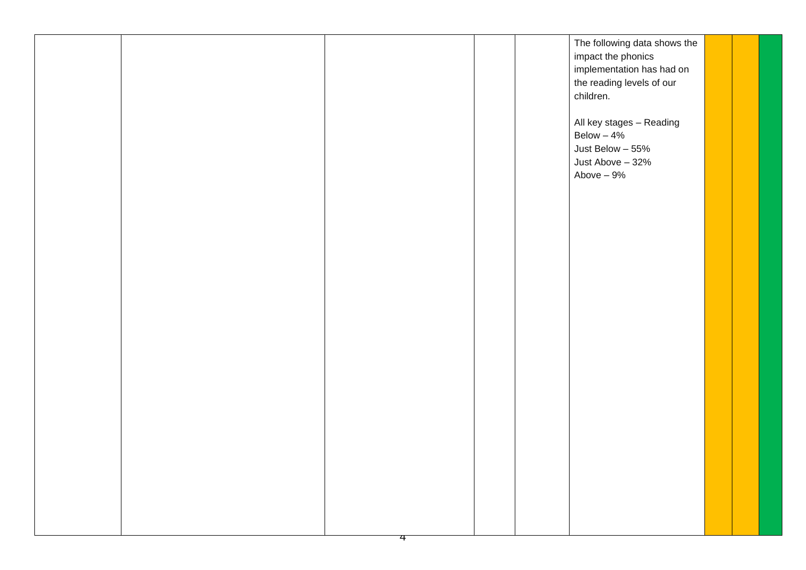|  |  | The following data shows the<br>impact the phonics<br>implementation has had on<br>the reading levels of our<br>children. |  |
|--|--|---------------------------------------------------------------------------------------------------------------------------|--|
|  |  | All key stages - Reading<br>Below $-4%$<br>Just Below - 55%<br>Just Above - 32%<br>Above – 9%                             |  |
|  |  |                                                                                                                           |  |
|  |  |                                                                                                                           |  |
|  |  |                                                                                                                           |  |
|  |  |                                                                                                                           |  |
|  |  |                                                                                                                           |  |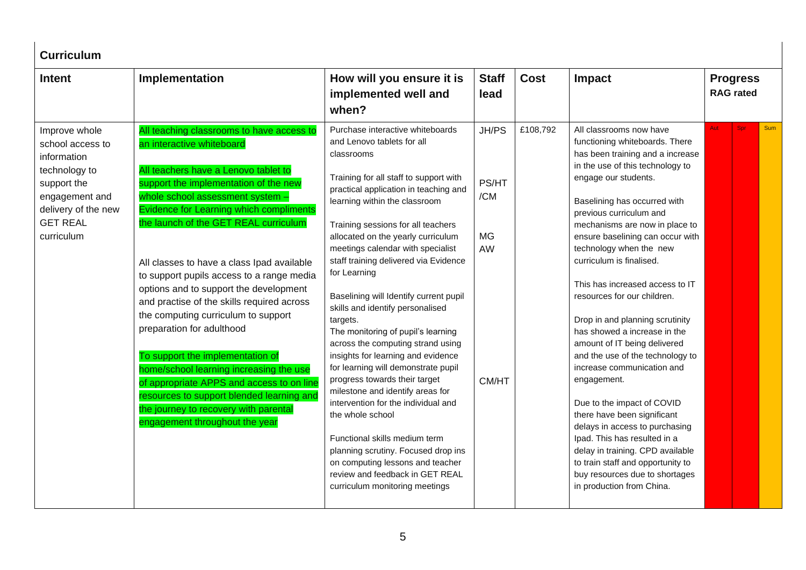| <b>Curriculum</b>                                                                                                                                          |                                                                                                                                                                                                                                                                                                                                                                                                                                                                                                                                                                                                                                                                                                                                                                                            |                                                                                                                                                                                                                                                                                                                                                                                                                                                                                                                                                                                                                                                                                                                                                                                                                                                                                                                                               |                                                   |             |                                                                                                                                                                                                                                                                                                                                                                                                                                                                                                                                                                                                                                                                                                                                                                                                                                                                                |                                     |     |  |  |
|------------------------------------------------------------------------------------------------------------------------------------------------------------|--------------------------------------------------------------------------------------------------------------------------------------------------------------------------------------------------------------------------------------------------------------------------------------------------------------------------------------------------------------------------------------------------------------------------------------------------------------------------------------------------------------------------------------------------------------------------------------------------------------------------------------------------------------------------------------------------------------------------------------------------------------------------------------------|-----------------------------------------------------------------------------------------------------------------------------------------------------------------------------------------------------------------------------------------------------------------------------------------------------------------------------------------------------------------------------------------------------------------------------------------------------------------------------------------------------------------------------------------------------------------------------------------------------------------------------------------------------------------------------------------------------------------------------------------------------------------------------------------------------------------------------------------------------------------------------------------------------------------------------------------------|---------------------------------------------------|-------------|--------------------------------------------------------------------------------------------------------------------------------------------------------------------------------------------------------------------------------------------------------------------------------------------------------------------------------------------------------------------------------------------------------------------------------------------------------------------------------------------------------------------------------------------------------------------------------------------------------------------------------------------------------------------------------------------------------------------------------------------------------------------------------------------------------------------------------------------------------------------------------|-------------------------------------|-----|--|--|
| <b>Intent</b>                                                                                                                                              | Implementation                                                                                                                                                                                                                                                                                                                                                                                                                                                                                                                                                                                                                                                                                                                                                                             | How will you ensure it is<br>implemented well and<br>when?                                                                                                                                                                                                                                                                                                                                                                                                                                                                                                                                                                                                                                                                                                                                                                                                                                                                                    | <b>Staff</b><br>lead                              | <b>Cost</b> | Impact                                                                                                                                                                                                                                                                                                                                                                                                                                                                                                                                                                                                                                                                                                                                                                                                                                                                         | <b>Progress</b><br><b>RAG</b> rated |     |  |  |
| Improve whole<br>school access to<br>information<br>technology to<br>support the<br>engagement and<br>delivery of the new<br><b>GET REAL</b><br>curriculum | All teaching classrooms to have access to<br>an interactive whiteboard<br>All teachers have a Lenovo tablet to<br>support the implementation of the new<br>whole school assessment system -<br>Evidence for Learning which compliments<br>the launch of the GET REAL curriculum<br>All classes to have a class Ipad available<br>to support pupils access to a range media<br>options and to support the development<br>and practise of the skills required across<br>the computing curriculum to support<br>preparation for adulthood<br>To support the implementation of<br>home/school learning increasing the use<br>of appropriate APPS and access to on line<br>resources to support blended learning and<br>the journey to recovery with parental<br>engagement throughout the year | Purchase interactive whiteboards<br>and Lenovo tablets for all<br>classrooms<br>Training for all staff to support with<br>practical application in teaching and<br>learning within the classroom<br>Training sessions for all teachers<br>allocated on the yearly curriculum<br>meetings calendar with specialist<br>staff training delivered via Evidence<br>for Learning<br>Baselining will Identify current pupil<br>skills and identify personalised<br>targets.<br>The monitoring of pupil's learning<br>across the computing strand using<br>insights for learning and evidence<br>for learning will demonstrate pupil<br>progress towards their target<br>milestone and identify areas for<br>intervention for the individual and<br>the whole school<br>Functional skills medium term<br>planning scrutiny. Focused drop ins<br>on computing lessons and teacher<br>review and feedback in GET REAL<br>curriculum monitoring meetings | JH/PS<br>PS/HT<br>/CM<br>MG<br><b>AW</b><br>CM/HT | £108,792    | All classrooms now have<br>functioning whiteboards. There<br>has been training and a increase<br>in the use of this technology to<br>engage our students.<br>Baselining has occurred with<br>previous curriculum and<br>mechanisms are now in place to<br>ensure baselining can occur with<br>technology when the new<br>curriculum is finalised.<br>This has increased access to IT<br>resources for our children.<br>Drop in and planning scrutinity<br>has showed a increase in the<br>amount of IT being delivered<br>and the use of the technology to<br>increase communication and<br>engagement.<br>Due to the impact of COVID<br>there have been significant<br>delays in access to purchasing<br>Ipad. This has resulted in a<br>delay in training. CPD available<br>to train staff and opportunity to<br>buy resources due to shortages<br>in production from China. | Spr<br><b>Aut</b>                   | Sum |  |  |
|                                                                                                                                                            |                                                                                                                                                                                                                                                                                                                                                                                                                                                                                                                                                                                                                                                                                                                                                                                            |                                                                                                                                                                                                                                                                                                                                                                                                                                                                                                                                                                                                                                                                                                                                                                                                                                                                                                                                               |                                                   |             |                                                                                                                                                                                                                                                                                                                                                                                                                                                                                                                                                                                                                                                                                                                                                                                                                                                                                |                                     |     |  |  |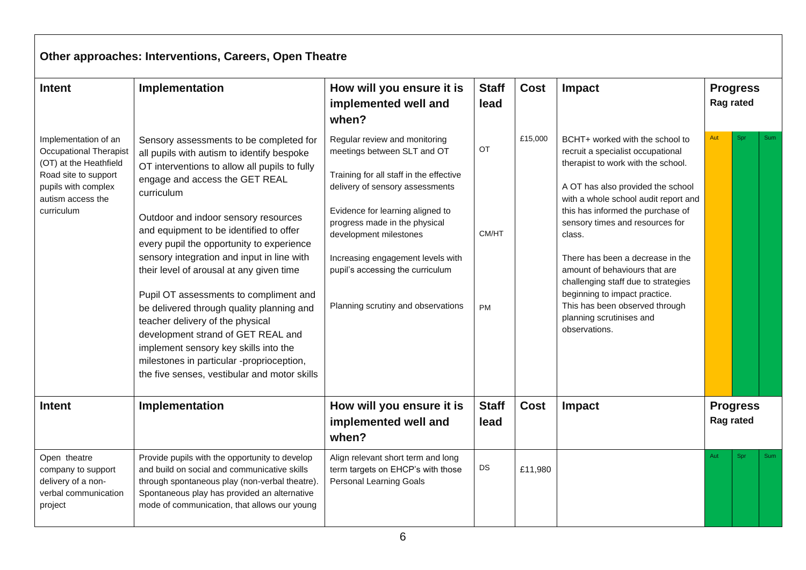|                                                                                                                                                                   | Other approaches: Interventions, Careers, Open Theatre                                                                                                                                                                                                                                                                                                                                                                                                                                                                                                                                                                                                                                                                  |                                                                                                                                                                                                                                                                                                                                                          |                                 |             |                                                                                                                                                                                                                                                                                                                                                                                                                                                                                                       |                              |     |            |  |  |  |  |
|-------------------------------------------------------------------------------------------------------------------------------------------------------------------|-------------------------------------------------------------------------------------------------------------------------------------------------------------------------------------------------------------------------------------------------------------------------------------------------------------------------------------------------------------------------------------------------------------------------------------------------------------------------------------------------------------------------------------------------------------------------------------------------------------------------------------------------------------------------------------------------------------------------|----------------------------------------------------------------------------------------------------------------------------------------------------------------------------------------------------------------------------------------------------------------------------------------------------------------------------------------------------------|---------------------------------|-------------|-------------------------------------------------------------------------------------------------------------------------------------------------------------------------------------------------------------------------------------------------------------------------------------------------------------------------------------------------------------------------------------------------------------------------------------------------------------------------------------------------------|------------------------------|-----|------------|--|--|--|--|
| <b>Intent</b>                                                                                                                                                     | Implementation                                                                                                                                                                                                                                                                                                                                                                                                                                                                                                                                                                                                                                                                                                          | How will you ensure it is<br>implemented well and<br>when?                                                                                                                                                                                                                                                                                               | <b>Staff</b><br>lead            | <b>Cost</b> | Impact                                                                                                                                                                                                                                                                                                                                                                                                                                                                                                | <b>Progress</b><br>Rag rated |     |            |  |  |  |  |
| Implementation of an<br><b>Occupational Therapist</b><br>(OT) at the Heathfield<br>Road site to support<br>pupils with complex<br>autism access the<br>curriculum | Sensory assessments to be completed for<br>all pupils with autism to identify bespoke<br>OT interventions to allow all pupils to fully<br>engage and access the GET REAL<br>curriculum<br>Outdoor and indoor sensory resources<br>and equipment to be identified to offer<br>every pupil the opportunity to experience<br>sensory integration and input in line with<br>their level of arousal at any given time<br>Pupil OT assessments to compliment and<br>be delivered through quality planning and<br>teacher delivery of the physical<br>development strand of GET REAL and<br>implement sensory key skills into the<br>milestones in particular -proprioception,<br>the five senses, vestibular and motor skills | Regular review and monitoring<br>meetings between SLT and OT<br>Training for all staff in the effective<br>delivery of sensory assessments<br>Evidence for learning aligned to<br>progress made in the physical<br>development milestones<br>Increasing engagement levels with<br>pupil's accessing the curriculum<br>Planning scrutiny and observations | <b>OT</b><br>CM/HT<br><b>PM</b> | £15,000     | BCHT+ worked with the school to<br>recruit a specialist occupational<br>therapist to work with the school.<br>A OT has also provided the school<br>with a whole school audit report and<br>this has informed the purchase of<br>sensory times and resources for<br>class.<br>There has been a decrease in the<br>amount of behaviours that are<br>challenging staff due to strategies<br>beginning to impact practice.<br>This has been observed through<br>planning scrutinises and<br>observations. | Aut                          | Spr | Sum        |  |  |  |  |
| <b>Intent</b>                                                                                                                                                     | Implementation                                                                                                                                                                                                                                                                                                                                                                                                                                                                                                                                                                                                                                                                                                          | How will you ensure it is<br>implemented well and<br>when?                                                                                                                                                                                                                                                                                               | <b>Staff</b><br>lead            | <b>Cost</b> | Impact                                                                                                                                                                                                                                                                                                                                                                                                                                                                                                | <b>Progress</b><br>Rag rated |     |            |  |  |  |  |
| Open theatre<br>company to support<br>delivery of a non-<br>verbal communication<br>project                                                                       | Provide pupils with the opportunity to develop<br>and build on social and communicative skills<br>through spontaneous play (non-verbal theatre)<br>Spontaneous play has provided an alternative<br>mode of communication, that allows our young                                                                                                                                                                                                                                                                                                                                                                                                                                                                         | Align relevant short term and long<br>term targets on EHCP's with those<br><b>Personal Learning Goals</b>                                                                                                                                                                                                                                                | DS                              | £11,980     |                                                                                                                                                                                                                                                                                                                                                                                                                                                                                                       | Aut                          | Spr | <b>Sum</b> |  |  |  |  |

## 6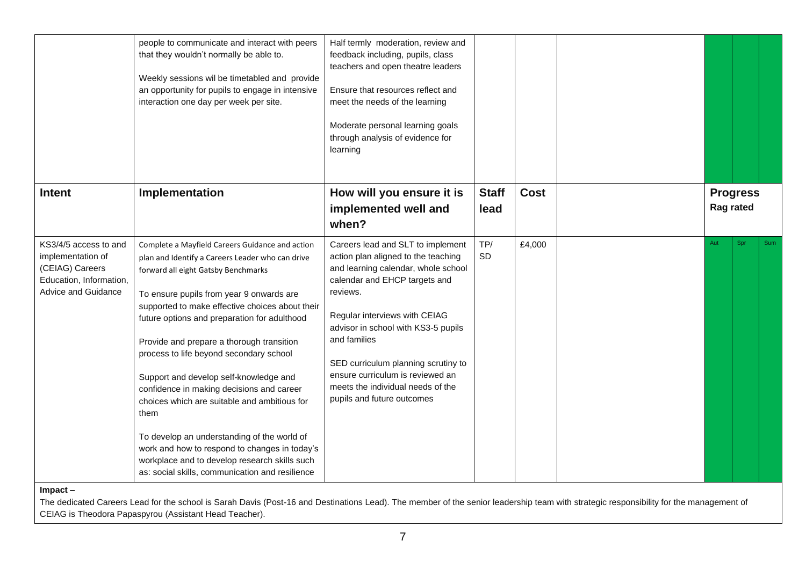|                                                                                                                 | people to communicate and interact with peers<br>that they wouldn't normally be able to.<br>Weekly sessions wil be timetabled and provide<br>an opportunity for pupils to engage in intensive<br>interaction one day per week per site.                                                                                                                                                                                                                                                                                                                                                                                                                                                                                              | Half termly moderation, review and<br>feedback including, pupils, class<br>teachers and open theatre leaders<br>Ensure that resources reflect and<br>meet the needs of the learning<br>Moderate personal learning goals<br>through analysis of evidence for<br>learning                                                                                                                            |                      |             |                              |     |     |
|-----------------------------------------------------------------------------------------------------------------|--------------------------------------------------------------------------------------------------------------------------------------------------------------------------------------------------------------------------------------------------------------------------------------------------------------------------------------------------------------------------------------------------------------------------------------------------------------------------------------------------------------------------------------------------------------------------------------------------------------------------------------------------------------------------------------------------------------------------------------|----------------------------------------------------------------------------------------------------------------------------------------------------------------------------------------------------------------------------------------------------------------------------------------------------------------------------------------------------------------------------------------------------|----------------------|-------------|------------------------------|-----|-----|
| <b>Intent</b>                                                                                                   | Implementation                                                                                                                                                                                                                                                                                                                                                                                                                                                                                                                                                                                                                                                                                                                       | How will you ensure it is<br>implemented well and<br>when?                                                                                                                                                                                                                                                                                                                                         | <b>Staff</b><br>lead | <b>Cost</b> | <b>Progress</b><br>Rag rated |     |     |
| KS3/4/5 access to and<br>implementation of<br>(CEIAG) Careers<br>Education, Information,<br>Advice and Guidance | Complete a Mayfield Careers Guidance and action<br>plan and Identify a Careers Leader who can drive<br>forward all eight Gatsby Benchmarks<br>To ensure pupils from year 9 onwards are<br>supported to make effective choices about their<br>future options and preparation for adulthood<br>Provide and prepare a thorough transition<br>process to life beyond secondary school<br>Support and develop self-knowledge and<br>confidence in making decisions and career<br>choices which are suitable and ambitious for<br>them<br>To develop an understanding of the world of<br>work and how to respond to changes in today's<br>workplace and to develop research skills such<br>as: social skills, communication and resilience | Careers lead and SLT to implement<br>action plan aligned to the teaching<br>and learning calendar, whole school<br>calendar and EHCP targets and<br>reviews.<br>Regular interviews with CEIAG<br>advisor in school with KS3-5 pupils<br>and families<br>SED curriculum planning scrutiny to<br>ensure curriculum is reviewed an<br>meets the individual needs of the<br>pupils and future outcomes | TP/<br><b>SD</b>     | £4,000      | Aut                          | Spr | Sum |

**Impact –**

The dedicated Careers Lead for the school is Sarah Davis (Post-16 and Destinations Lead). The member of the senior leadership team with strategic responsibility for the management of CEIAG is Theodora Papaspyrou (Assistant Head Teacher).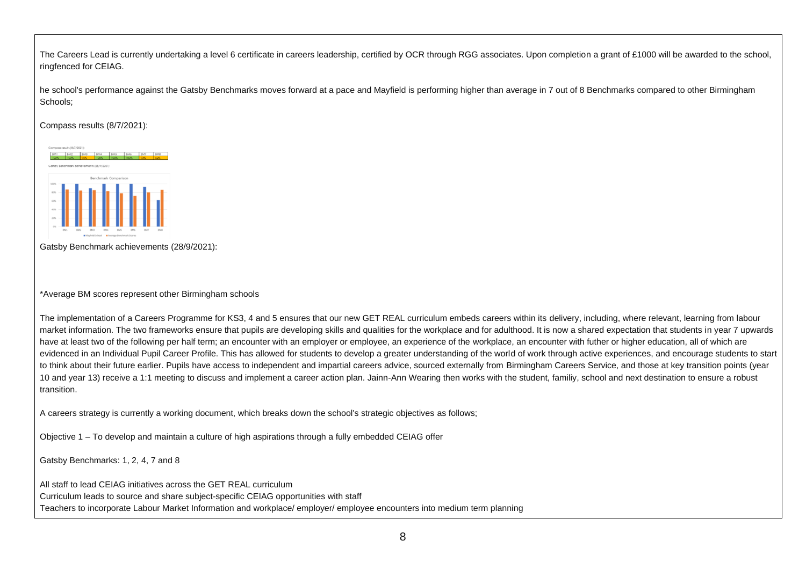The Careers Lead is currently undertaking a level 6 certificate in careers leadership, certified by OCR through RGG associates. Upon completion a grant of £1000 will be awarded to the school, ringfenced for CEIAG.

he school's performance against the Gatsby Benchmarks moves forward at a pace and Mayfield is performing higher than average in 7 out of 8 Benchmarks compared to other Birmingham Schools;

Compass results (8/7/2021):



Gatsby Benchmark achievements (28/9/2021):

\*Average BM scores represent other Birmingham schools

The implementation of a Careers Programme for KS3, 4 and 5 ensures that our new GET REAL curriculum embeds careers within its delivery, including, where relevant, learning from labour market information. The two frameworks ensure that pupils are developing skills and qualities for the workplace and for adulthood. It is now a shared expectation that students in year 7 upwards have at least two of the following per half term; an encounter with an employer or employee, an experience of the workplace, an encounter with futher or higher education, all of which are evidenced in an Individual Pupil Career Profile. This has allowed for students to develop a greater understanding of the world of work through active experiences, and encourage students to start to think about their future earlier. Pupils have access to independent and impartial careers advice, sourced externally from Birmingham Careers Service, and those at key transition points (year 10 and year 13) receive a 1:1 meeting to discuss and implement a career action plan. Jainn-Ann Wearing then works with the student, familiy, school and next destination to ensure a robust transition.

A careers strategy is currently a working document, which breaks down the school's strategic objectives as follows;

Objective 1 – To develop and maintain a culture of high aspirations through a fully embedded CEIAG offer

Gatsby Benchmarks: 1, 2, 4, 7 and 8

All staff to lead CEIAG initiatives across the GET REAL curriculum

Curriculum leads to source and share subject-specific CEIAG opportunities with staff

Teachers to incorporate Labour Market Information and workplace/ employer/ employee encounters into medium term planning